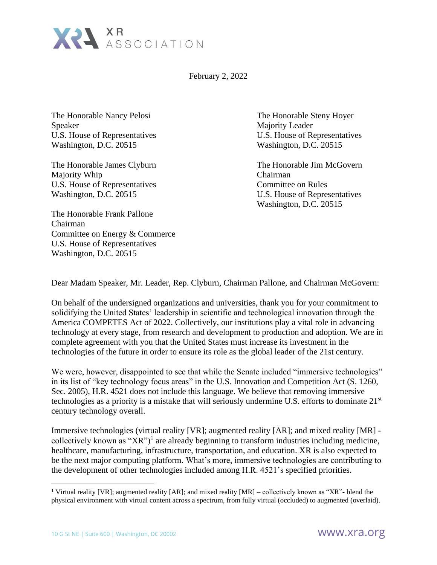

February 2, 2022

The Honorable Nancy Pelosi The Honorable Steny Hoyer Speaker Majority Leader U.S. House of Representatives U.S. House of Representatives Washington, D.C. 20515 Washington, D.C. 20515

Majority Whip Chairman U.S. House of Representatives Committee on Rules Washington, D.C. 20515 U.S. House of Representatives

The Honorable Frank Pallone Chairman Committee on Energy & Commerce U.S. House of Representatives Washington, D.C. 20515

The Honorable James Clyburn The Honorable Jim McGovern Washington, D.C. 20515

Dear Madam Speaker, Mr. Leader, Rep. Clyburn, Chairman Pallone, and Chairman McGovern:

On behalf of the undersigned organizations and universities, thank you for your commitment to solidifying the United States' leadership in scientific and technological innovation through the America COMPETES Act of 2022. Collectively, our institutions play a vital role in advancing technology at every stage, from research and development to production and adoption. We are in complete agreement with you that the United States must increase its investment in the technologies of the future in order to ensure its role as the global leader of the 21st century.

We were, however, disappointed to see that while the Senate included "immersive technologies" in its list of "key technology focus areas" in the U.S. Innovation and Competition Act (S. 1260, Sec. 2005), H.R. 4521 does not include this language. We believe that removing immersive technologies as a priority is a mistake that will seriously undermine U.S. efforts to dominate 21st century technology overall.

Immersive technologies (virtual reality [VR]; augmented reality [AR]; and mixed reality [MR] collectively known as " $XR$ ")<sup>1</sup> are already beginning to transform industries including medicine, healthcare, manufacturing, infrastructure, transportation, and education. XR is also expected to be the next major computing platform. What's more, immersive technologies are contributing to the development of other technologies included among H.R. 4521's specified priorities.

<sup>&</sup>lt;sup>1</sup> Virtual reality [VR]; augmented reality [AR]; and mixed reality [MR] – collectively known as "XR"- blend the physical environment with virtual content across a spectrum, from fully virtual (occluded) to augmented (overlaid).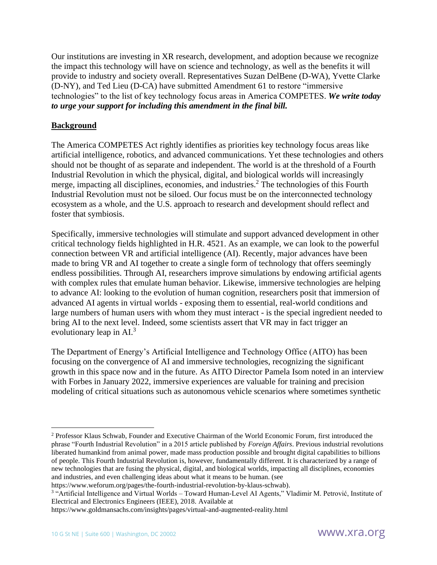Our institutions are investing in XR research, development, and adoption because we recognize the impact this technology will have on science and technology, as well as the benefits it will provide to industry and society overall. Representatives Suzan DelBene (D-WA), Yvette Clarke (D-NY), and Ted Lieu (D-CA) have submitted Amendment 61 to restore "immersive technologies" to the list of key technology focus areas in America COMPETES. *We write today to urge your support for including this amendment in the final bill.*

## **Background**

The America COMPETES Act rightly identifies as priorities key technology focus areas like artificial intelligence, robotics, and advanced communications. Yet these technologies and others should not be thought of as separate and independent. The world is at the threshold of a Fourth Industrial Revolution in which the physical, digital, and biological worlds will increasingly merge, impacting all disciplines, economies, and industries.<sup>2</sup> The technologies of this Fourth Industrial Revolution must not be siloed. Our focus must be on the interconnected technology ecosystem as a whole, and the U.S. approach to research and development should reflect and foster that symbiosis.

Specifically, immersive technologies will stimulate and support advanced development in other critical technology fields highlighted in H.R. 4521. As an example, we can look to the powerful connection between VR and artificial intelligence (AI). Recently, major advances have been made to bring VR and AI together to create a single form of technology that offers seemingly endless possibilities. Through AI, researchers improve simulations by endowing artificial agents with complex rules that emulate human behavior. Likewise, immersive technologies are helping to advance AI: looking to the evolution of human cognition, researchers posit that immersion of advanced AI agents in virtual worlds - exposing them to essential, real-world conditions and large numbers of human users with whom they must interact - is the special ingredient needed to bring AI to the next level. Indeed, some scientists assert that VR may in fact trigger an evolutionary leap in  $AI^3$ 

The Department of Energy's Artificial Intelligence and Technology Office (AITO) has been focusing on the convergence of AI and immersive technologies, recognizing the significant growth in this space now and in the future. As AITO Director Pamela Isom noted in an interview with Forbes in January 2022, immersive experiences are valuable for training and precision modeling of critical situations such as autonomous vehicle scenarios where sometimes synthetic

<sup>2</sup> Professor Klaus Schwab, Founder and Executive Chairman of the World Economic Forum, first introduced the phrase "Fourth Industrial Revolution" in a 2015 article published by *Foreign Affairs*. Previous industrial revolutions liberated humankind from animal power, made mass production possible and brought digital capabilities to billions of people. This Fourth Industrial Revolution is, however, fundamentally different. It is characterized by a range of new technologies that are fusing the physical, digital, and biological worlds, impacting all disciplines, economies and industries, and even challenging ideas about what it means to be human. (see

https://www.weforum.org/pages/the-fourth-industrial-revolution-by-klaus-schwab).

<sup>&</sup>lt;sup>3</sup> "Artificial Intelligence and Virtual Worlds - Toward Human-Level AI Agents," Vladimir M. Petrović, Institute of Electrical and Electronics Engineers (IEEE), 2018. Available at

https://www.goldmansachs.com/insights/pages/virtual-and-augmented-reality.html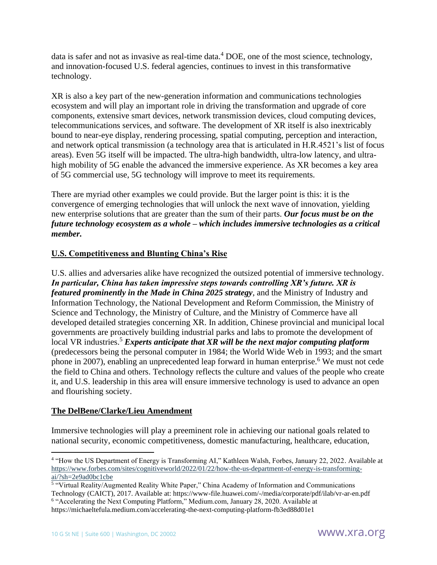data is safer and not as invasive as real-time data.<sup>4</sup> DOE, one of the most science, technology, and innovation-focused U.S. federal agencies, continues to invest in this transformative technology.

XR is also a key part of the new-generation information and communications technologies ecosystem and will play an important role in driving the transformation and upgrade of core components, extensive smart devices, network transmission devices, cloud computing devices, telecommunications services, and software. The development of XR itself is also inextricably bound to near-eye display, rendering processing, spatial computing, perception and interaction, and network optical transmission (a technology area that is articulated in H.R.4521's list of focus areas). Even 5G itself will be impacted. The ultra-high bandwidth, ultra-low latency, and ultrahigh mobility of 5G enable the advanced the immersive experience. As XR becomes a key area of 5G commercial use, 5G technology will improve to meet its requirements.

There are myriad other examples we could provide. But the larger point is this: it is the convergence of emerging technologies that will unlock the next wave of innovation, yielding new enterprise solutions that are greater than the sum of their parts. *Our focus must be on the future technology ecosystem as a whole – which includes immersive technologies as a critical member.* 

## **U.S. Competitiveness and Blunting China's Rise**

U.S. allies and adversaries alike have recognized the outsized potential of immersive technology. *In particular, China has taken impressive steps towards controlling XR's future. XR is featured prominently in the Made in China 2025 strategy*, and the Ministry of Industry and Information Technology, the National Development and Reform Commission, the Ministry of Science and Technology, the Ministry of Culture, and the Ministry of Commerce have all developed detailed strategies concerning XR. In addition, Chinese provincial and municipal local governments are proactively building industrial parks and labs to promote the development of local VR industries.<sup>5</sup> *Experts anticipate that XR will be the next major computing platform* (predecessors being the personal computer in 1984; the World Wide Web in 1993; and the smart phone in 2007), enabling an unprecedented leap forward in human enterprise.<sup>6</sup> We must not cede the field to China and others. Technology reflects the culture and values of the people who create it, and U.S. leadership in this area will ensure immersive technology is used to advance an open and flourishing society.

## **The DelBene/Clarke/Lieu Amendment**

Immersive technologies will play a preeminent role in achieving our national goals related to national security, economic competitiveness, domestic manufacturing, healthcare, education,

<sup>4</sup> "How the US Department of Energy is Transforming AI," Kathleen Walsh, Forbes, January 22, 2022. Available at [https://www.forbes.com/sites/cognitiveworld/2022/01/22/how-the-us-department-of-energy-is-transforming](https://www.forbes.com/sites/cognitiveworld/2022/01/22/how-the-us-department-of-energy-is-transforming-ai/?sh=2e9ad0bc1cbe)[ai/?sh=2e9ad0bc1cbe](https://www.forbes.com/sites/cognitiveworld/2022/01/22/how-the-us-department-of-energy-is-transforming-ai/?sh=2e9ad0bc1cbe)

<sup>5</sup> "Virtual Reality/Augmented Reality White Paper," China Academy of Information and Communications Technology (CAICT), 2017. Available at: https://www-file.huawei.com/-/media/corporate/pdf/ilab/vr-ar-en.pdf

<sup>&</sup>lt;sup>6</sup> "Accelerating the Next Computing Platform," Medium.com, January 28, 2020. Available at https://michaeltefula.medium.com/accelerating-the-next-computing-platform-fb3ed88d01e1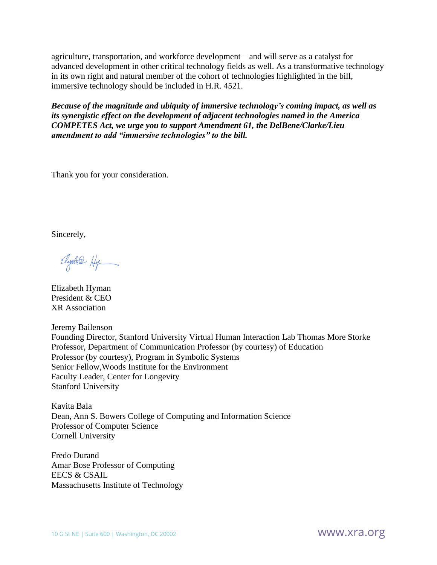agriculture, transportation, and workforce development – and will serve as a catalyst for advanced development in other critical technology fields as well. As a transformative technology in its own right and natural member of the cohort of technologies highlighted in the bill, immersive technology should be included in H.R. 4521.

*Because of the magnitude and ubiquity of immersive technology's coming impact, as well as its synergistic effect on the development of adjacent technologies named in the America COMPETES Act, we urge you to support Amendment 61, the DelBene/Clarke/Lieu amendment to add "immersive technologies" to the bill.*

Thank you for your consideration.

Sincerely,

Ayabre Hy

Elizabeth Hyman President & CEO XR Association

Jeremy Bailenson Founding Director, Stanford University Virtual Human Interaction Lab Thomas More Storke Professor, Department of Communication Professor (by courtesy) of Education Professor (by courtesy), Program in Symbolic Systems Senior Fellow,Woods Institute for the Environment Faculty Leader, Center for Longevity Stanford University

Kavita Bala Dean, Ann S. Bowers College of Computing and Information Science Professor of Computer Science Cornell University

Fredo Durand Amar Bose Professor of Computing EECS & CSAIL Massachusetts Institute of Technology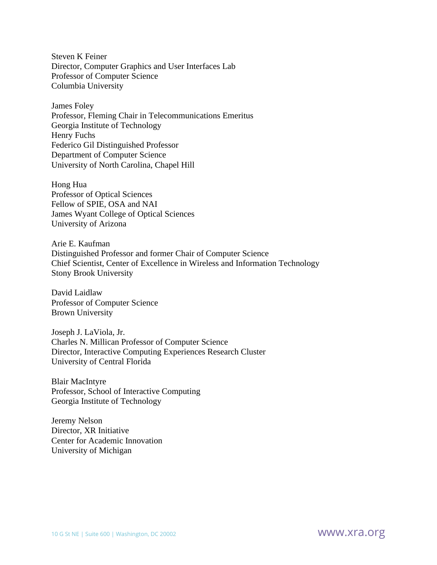Steven K Feiner Director, Computer Graphics and User Interfaces Lab Professor of Computer Science Columbia University

James Foley Professor, Fleming Chair in Telecommunications Emeritus Georgia Institute of Technology Henry Fuchs Federico Gil Distinguished Professor Department of Computer Science University of North Carolina, Chapel Hill

Hong Hua Professor of Optical Sciences Fellow of SPIE, OSA and NAI James Wyant College of Optical Sciences University of Arizona

Arie E. Kaufman Distinguished Professor and former Chair of Computer Science Chief Scientist, Center of Excellence in Wireless and Information Technology Stony Brook University

David Laidlaw Professor of Computer Science Brown University

Joseph J. LaViola, Jr. Charles N. Millican Professor of Computer Science Director, Interactive Computing Experiences Research Cluster University of Central Florida

Blair MacIntyre Professor, School of Interactive Computing Georgia Institute of Technology

Jeremy Nelson Director, XR Initiative Center for Academic Innovation University of Michigan